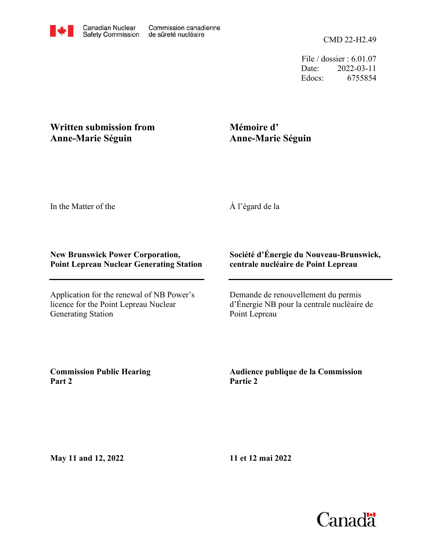File / dossier : 6.01.07 Date: 2022-03-11 Edocs: 6755854

## **Written submission from Anne-Marie Séguin**

## **Mémoire d' Anne-Marie Séguin**

In the Matter of the

À l'égard de la

## **New Brunswick Power Corporation, Point Lepreau Nuclear Generating Station**

Application for the renewal of NB Power's licence for the Point Lepreau Nuclear Generating Station

## **Société d'Énergie du Nouveau-Brunswick, centrale nucléaire de Point Lepreau**

Demande de renouvellement du permis d'Énergie NB pour la centrale nucléaire de Point Lepreau

**Commission Public Hearing Part 2**

**Audience publique de la Commission Partie 2**

**May 11 and 12, 2022**

**11 et 12 mai 2022**